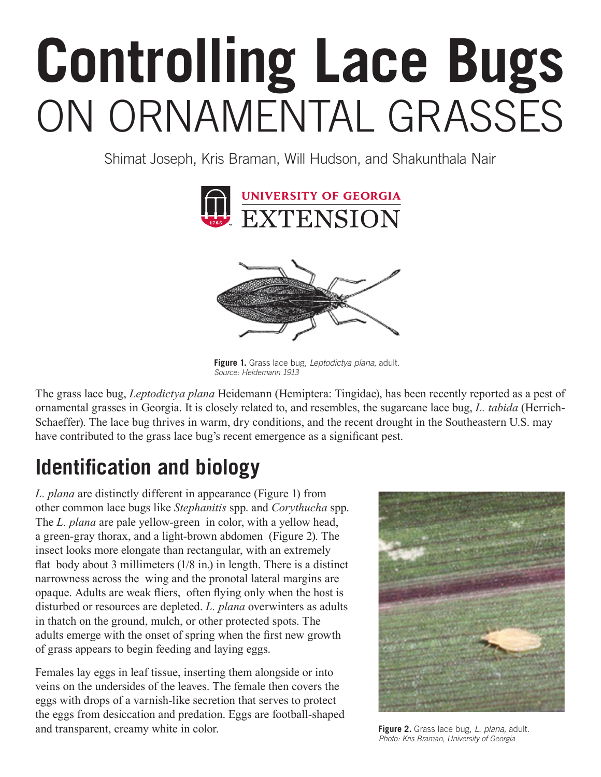# **Controlling Lace Bugs**  ON ORNAMENTAL GRASSES

Shimat Joseph, Kris Braman, Will Hudson, and Shakunthala Nair



**Figure 1.** Grass lace bug, *Leptodictya plana*, adult. *Source: Heidemann 1913*

The grass lace bug, *Leptodictya plana* Heidemann (Hemiptera: Tingidae), has been recently reported as a pest of ornamental grasses in Georgia. It is closely related to, and resembles, the sugarcane lace bug, *L. tabida* (Herrich-Schaeffer). The lace bug thrives in warm, dry conditions, and the recent drought in the Southeastern U.S. may have contributed to the grass lace bug's recent emergence as a significant pest.

## **Identification and biology**

*L. plana* are distinctly different in appearance (Figure 1) from other common lace bugs like *Stephanitis* spp. and *Corythucha* spp. The *L. plana* are pale yellow-green in color, with a yellow head, a green-gray thorax, and a light-brown abdomen (Figure 2). The insect looks more elongate than rectangular, with an extremely flat body about 3 millimeters (1/8 in.) in length. There is a distinct narrowness across the wing and the pronotal lateral margins are opaque. Adults are weak fliers, often flying only when the host is disturbed or resources are depleted. *L. plana* overwinters as adults in thatch on the ground, mulch, or other protected spots. The adults emerge with the onset of spring when the first new growth of grass appears to begin feeding and laying eggs.

Females lay eggs in leaf tissue, inserting them alongside or into veins on the undersides of the leaves. The female then covers the eggs with drops of a varnish-like secretion that serves to protect the eggs from desiccation and predation. Eggs are football-shaped and transparent, creamy white in color.



**Figure 2.** Grass lace bug, *L. plana,* adult. *Photo: Kris Braman, University of Georgia*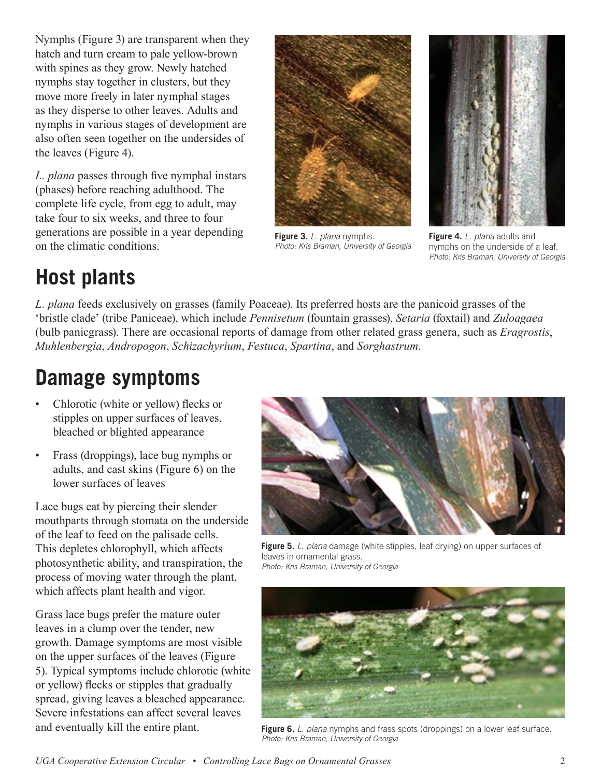Nymphs (Figure 3) are transparent when they hatch and turn cream to pale yellow-brown with spines as they grow. Newly hatched nymphs stay together in clusters, but they move more freely in later nymphal stages as they disperse to other leaves. Adults and nymphs in various stages of development are also often seen together on the undersides of the leaves (Figure 4).

*L. plana* passes through five nymphal instars (phases) before reaching adulthood. The complete life cycle, from egg to adult, may take four to six weeks, and three to four generations are possible in a year depending on the climatic conditions.



**Figure 3.** *L. plana* nymphs. *Photo: Kris Braman, University of Georgia* 



**Figure 4.** *L. plana* adults and nymphs on the underside of a leaf. *Photo: Kris Braman, University of Georgia* 

# **Host plants**

*L. plana* feeds exclusively on grasses (family Poaceae). Its preferred hosts are the panicoid grasses of the 'bristle clade' (tribe Paniceae), which include *Pennisetum* (fountain grasses), *Setaria* (foxtail) and *Zuloagaea*  (bulb panicgrass). There are occasional reports of damage from other related grass genera, such as *Eragrostis*, *Muhlenbergia*, *Andropogon*, *Schizachyrium*, *Festuca*, *Spartina*, and *Sorghastrum*.

#### **Damage symptoms**

- Chlorotic (white or yellow) flecks or stipples on upper surfaces of leaves, bleached or blighted appearance
- Frass (droppings), lace bug nymphs or adults, and cast skins (Figure 6) on the lower surfaces of leaves

Lace bugs eat by piercing their slender mouthparts through stomata on the underside of the leaf to feed on the palisade cells. This depletes chlorophyll, which affects photosynthetic ability, and transpiration, the process of moving water through the plant, which affects plant health and vigor.

Grass lace bugs prefer the mature outer leaves in a clump over the tender, new growth. Damage symptoms are most visible on the upper surfaces of the leaves (Figure 5). Typical symptoms include chlorotic (white or yellow) flecks or stipples that gradually spread, giving leaves a bleached appearance. Severe infestations can affect several leaves and eventually kill the entire plant.



**Figure 5.** *L. plana* damage (white stipples, leaf drying) on upper surfaces of leaves in ornamental grass. *Photo: Kris Braman, University of Georgia* 



**Figure 6.** *L. plana* nymphs and frass spots (droppings) on a lower leaf surface. *Photo: Kris Braman, University of Georgia* 

*UGA Cooperative Extension Circular • Controlling Lace Bugs on Ornamental Grasses* 2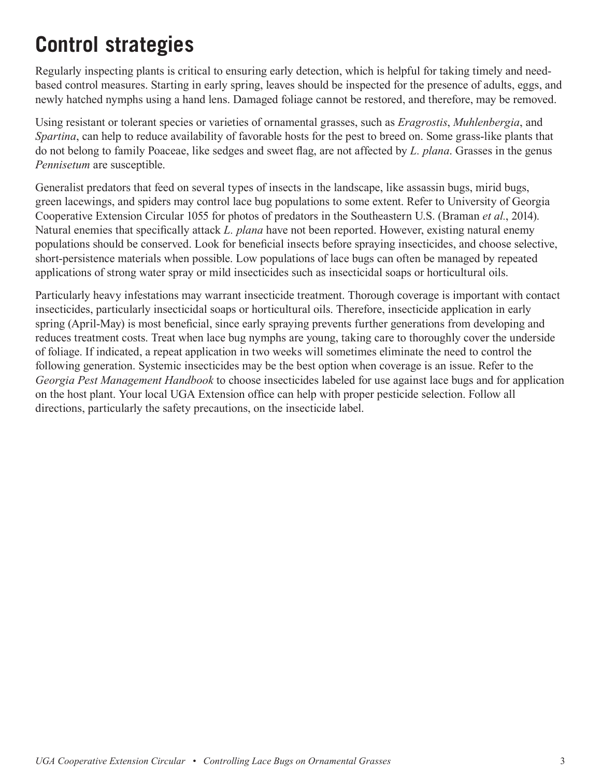### **Control strategies**

Regularly inspecting plants is critical to ensuring early detection, which is helpful for taking timely and needbased control measures. Starting in early spring, leaves should be inspected for the presence of adults, eggs, and newly hatched nymphs using a hand lens. Damaged foliage cannot be restored, and therefore, may be removed.

Using resistant or tolerant species or varieties of ornamental grasses, such as *Eragrostis*, *Muhlenbergia*, and *Spartina*, can help to reduce availability of favorable hosts for the pest to breed on. Some grass-like plants that do not belong to family Poaceae, like sedges and sweet flag, are not affected by *L. plana*. Grasses in the genus *Pennisetum* are susceptible.

Generalist predators that feed on several types of insects in the landscape, like assassin bugs, mirid bugs, green lacewings, and spiders may control lace bug populations to some extent. Refer to University of Georgia Cooperative Extension Circular 1055 for photos of predators in the Southeastern U.S. (Braman *et al.*, 2014). Natural enemies that specifically attack *L. plana* have not been reported. However, existing natural enemy populations should be conserved. Look for beneficial insects before spraying insecticides, and choose selective, short-persistence materials when possible. Low populations of lace bugs can often be managed by repeated applications of strong water spray or mild insecticides such as insecticidal soaps or horticultural oils.

Particularly heavy infestations may warrant insecticide treatment. Thorough coverage is important with contact insecticides, particularly insecticidal soaps or horticultural oils. Therefore, insecticide application in early spring (April-May) is most beneficial, since early spraying prevents further generations from developing and reduces treatment costs. Treat when lace bug nymphs are young, taking care to thoroughly cover the underside of foliage. If indicated, a repeat application in two weeks will sometimes eliminate the need to control the following generation. Systemic insecticides may be the best option when coverage is an issue. Refer to the *Georgia Pest Management Handbook* to choose insecticides labeled for use against lace bugs and for application on the host plant. Your local UGA Extension office can help with proper pesticide selection. Follow all directions, particularly the safety precautions, on the insecticide label.